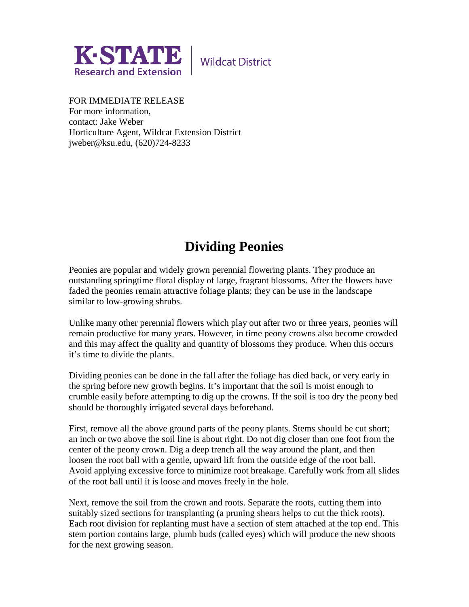

**Wildcat District** 

FOR IMMEDIATE RELEASE For more information, contact: Jake Weber Horticulture Agent, Wildcat Extension District jweber@ksu.edu, (620)724-8233

## **Dividing Peonies**

Peonies are popular and widely grown perennial flowering plants. They produce an outstanding springtime floral display of large, fragrant blossoms. After the flowers have faded the peonies remain attractive foliage plants; they can be use in the landscape similar to low-growing shrubs.

Unlike many other perennial flowers which play out after two or three years, peonies will remain productive for many years. However, in time peony crowns also become crowded and this may affect the quality and quantity of blossoms they produce. When this occurs it's time to divide the plants.

Dividing peonies can be done in the fall after the foliage has died back, or very early in the spring before new growth begins. It's important that the soil is moist enough to crumble easily before attempting to dig up the crowns. If the soil is too dry the peony bed should be thoroughly irrigated several days beforehand.

First, remove all the above ground parts of the peony plants. Stems should be cut short; an inch or two above the soil line is about right. Do not dig closer than one foot from the center of the peony crown. Dig a deep trench all the way around the plant, and then loosen the root ball with a gentle, upward lift from the outside edge of the root ball. Avoid applying excessive force to minimize root breakage. Carefully work from all slides of the root ball until it is loose and moves freely in the hole.

Next, remove the soil from the crown and roots. Separate the roots, cutting them into suitably sized sections for transplanting (a pruning shears helps to cut the thick roots). Each root division for replanting must have a section of stem attached at the top end. This stem portion contains large, plumb buds (called eyes) which will produce the new shoots for the next growing season.